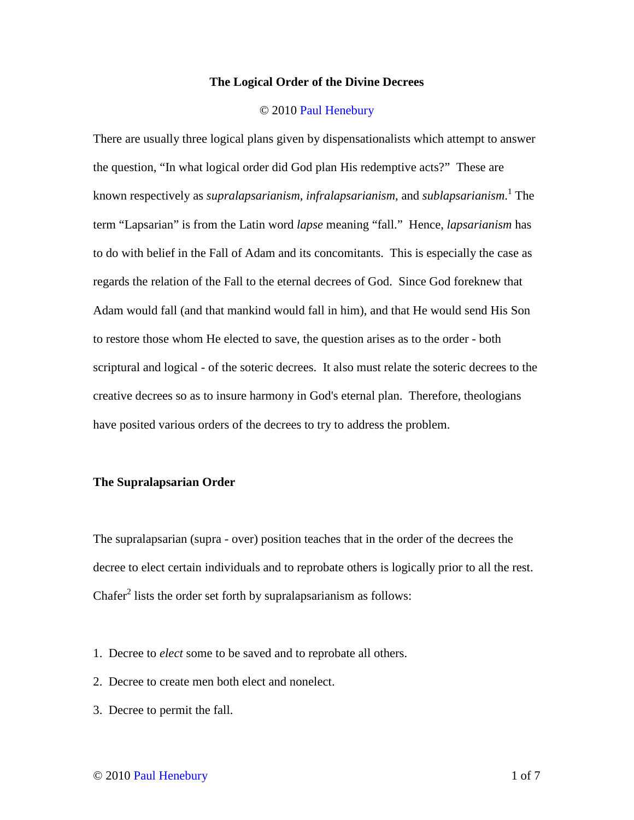### **The Logical Order of the Divine Decrees**

### © 2010 Paul Henebury

There are usually three logical plans given by dispensationalists which attempt to answer the question, "In what logical order did God plan His redemptive acts?" These are known respectively as *supralapsarianism, infralapsarianism*, and *sublapsarianism*. 1 The term "Lapsarian" is from the Latin word *lapse* meaning "fall." Hence, *lapsarianism* has to do with belief in the Fall of Adam and its concomitants. This is especially the case as regards the relation of the Fall to the eternal decrees of God. Since God foreknew that Adam would fall (and that mankind would fall in him), and that He would send His Son to restore those whom He elected to save, the question arises as to the order - both scriptural and logical - of the soteric decrees. It also must relate the soteric decrees to the creative decrees so as to insure harmony in God's eternal plan. Therefore, theologians have posited various orders of the decrees to try to address the problem.

# **The Supralapsarian Order**

The supralapsarian (supra - over) position teaches that in the order of the decrees the decree to elect certain individuals and to reprobate others is logically prior to all the rest. Chafer<sup>2</sup> lists the order set forth by supralapsarianism as follows:

- 1. Decree to *elect* some to be saved and to reprobate all others.
- 2. Decree to create men both elect and nonelect.
- 3. Decree to permit the fall.

# © 2010 Paul Henebury 1 of 7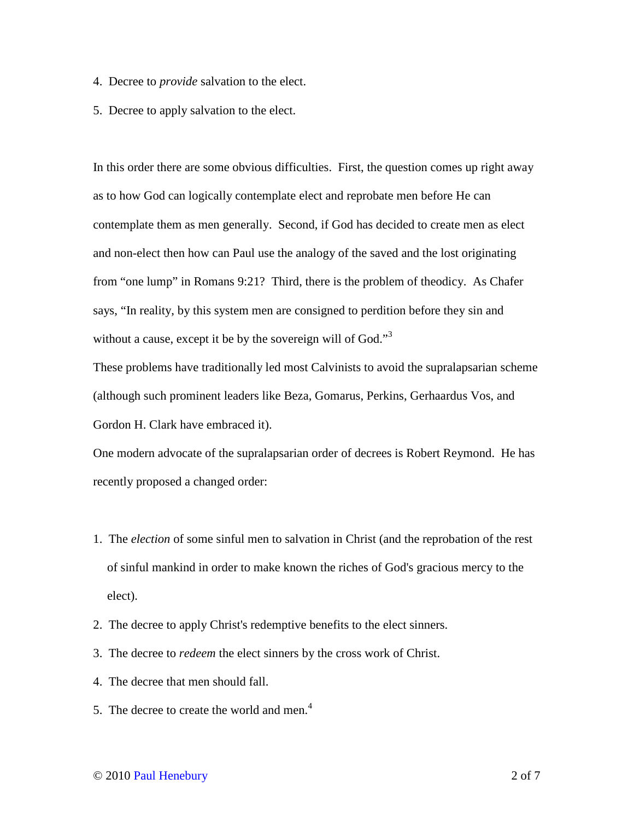- 4. Decree to *provide* salvation to the elect.
- 5. Decree to apply salvation to the elect.

In this order there are some obvious difficulties. First, the question comes up right away as to how God can logically contemplate elect and reprobate men before He can contemplate them as men generally. Second, if God has decided to create men as elect and non-elect then how can Paul use the analogy of the saved and the lost originating from "one lump" in Romans 9:21? Third, there is the problem of theodicy. As Chafer says, "In reality, by this system men are consigned to perdition before they sin and without a cause, except it be by the sovereign will of God." $3$ 

These problems have traditionally led most Calvinists to avoid the supralapsarian scheme (although such prominent leaders like Beza, Gomarus, Perkins, Gerhaardus Vos, and Gordon H. Clark have embraced it).

One modern advocate of the supralapsarian order of decrees is Robert Reymond. He has recently proposed a changed order:

- 1. The *election* of some sinful men to salvation in Christ (and the reprobation of the rest of sinful mankind in order to make known the riches of God's gracious mercy to the elect).
- 2. The decree to apply Christ's redemptive benefits to the elect sinners.
- 3. The decree to *redeem* the elect sinners by the cross work of Christ.
- 4. The decree that men should fall.
- 5. The decree to create the world and men.<sup>4</sup>

# © 2010 Paul Henebury 2 of 7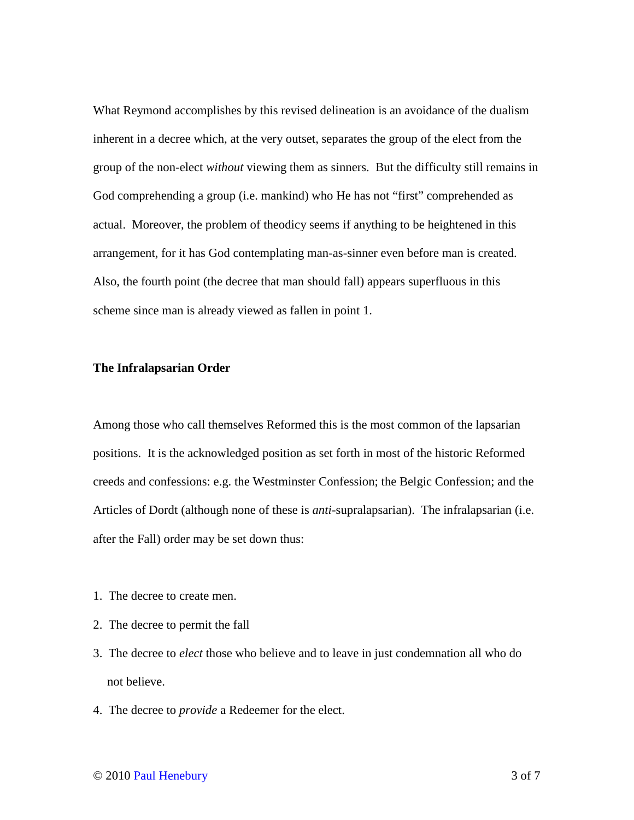What Reymond accomplishes by this revised delineation is an avoidance of the dualism inherent in a decree which, at the very outset, separates the group of the elect from the group of the non-elect *without* viewing them as sinners. But the difficulty still remains in God comprehending a group (i.e. mankind) who He has not "first" comprehended as actual. Moreover, the problem of theodicy seems if anything to be heightened in this arrangement, for it has God contemplating man-as-sinner even before man is created. Also, the fourth point (the decree that man should fall) appears superfluous in this scheme since man is already viewed as fallen in point 1.

### **The Infralapsarian Order**

Among those who call themselves Reformed this is the most common of the lapsarian positions. It is the acknowledged position as set forth in most of the historic Reformed creeds and confessions: e.g. the Westminster Confession; the Belgic Confession; and the Articles of Dordt (although none of these is *anti*-supralapsarian). The infralapsarian (i.e. after the Fall) order may be set down thus:

- 1. The decree to create men.
- 2. The decree to permit the fall
- 3. The decree to *elect* those who believe and to leave in just condemnation all who do not believe.
- 4. The decree to *provide* a Redeemer for the elect.

### © 2010 Paul Henebury 3 of 7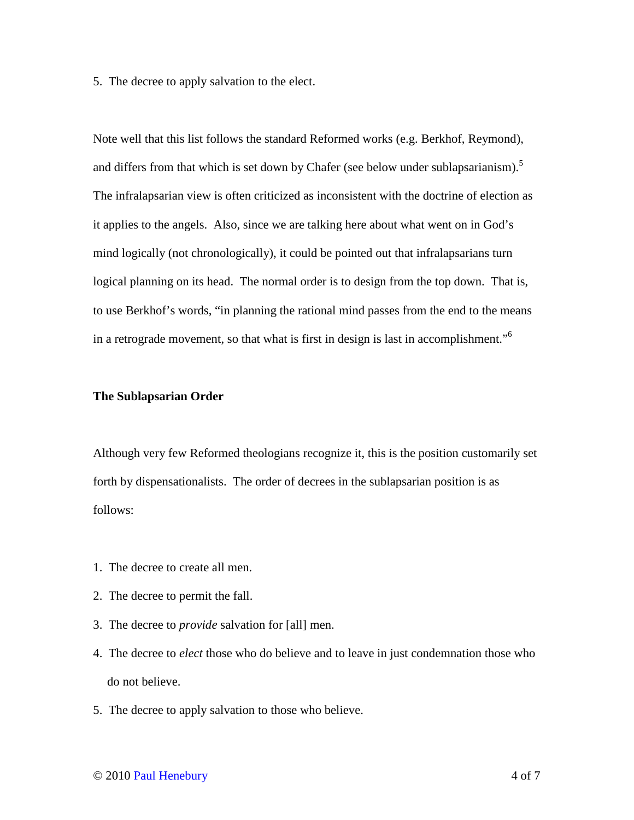5. The decree to apply salvation to the elect.

Note well that this list follows the standard Reformed works (e.g. Berkhof, Reymond), and differs from that which is set down by Chafer (see below under sublapsarianism).<sup>5</sup> The infralapsarian view is often criticized as inconsistent with the doctrine of election as it applies to the angels. Also, since we are talking here about what went on in God's mind logically (not chronologically), it could be pointed out that infralapsarians turn logical planning on its head. The normal order is to design from the top down. That is, to use Berkhof's words, "in planning the rational mind passes from the end to the means in a retrograde movement, so that what is first in design is last in accomplishment."<sup>6</sup>

### **The Sublapsarian Order**

Although very few Reformed theologians recognize it, this is the position customarily set forth by dispensationalists. The order of decrees in the sublapsarian position is as follows:

- 1. The decree to create all men.
- 2. The decree to permit the fall.
- 3. The decree to *provide* salvation for [all] men.
- 4. The decree to *elect* those who do believe and to leave in just condemnation those who do not believe.
- 5. The decree to apply salvation to those who believe.

# © 2010 Paul Henebury 4 of 7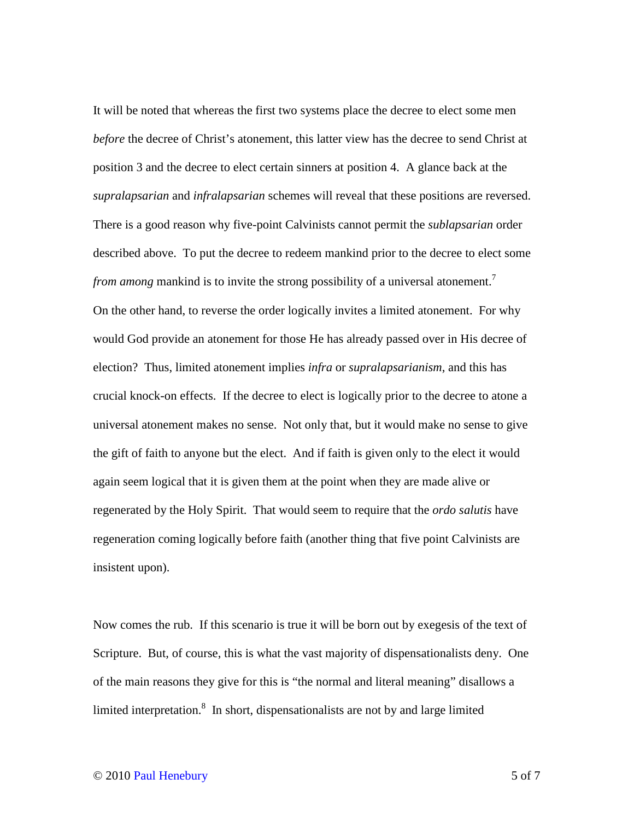It will be noted that whereas the first two systems place the decree to elect some men *before* the decree of Christ's atonement, this latter view has the decree to send Christ at position 3 and the decree to elect certain sinners at position 4. A glance back at the *supralapsarian* and *infralapsarian* schemes will reveal that these positions are reversed. There is a good reason why five-point Calvinists cannot permit the *sublapsarian* order described above. To put the decree to redeem mankind prior to the decree to elect some *from among* mankind is to invite the strong possibility of a universal atonement.<sup>7</sup> On the other hand, to reverse the order logically invites a limited atonement. For why would God provide an atonement for those He has already passed over in His decree of election? Thus, limited atonement implies *infra* or *supralapsarianism*, and this has crucial knock-on effects. If the decree to elect is logically prior to the decree to atone a universal atonement makes no sense. Not only that, but it would make no sense to give the gift of faith to anyone but the elect. And if faith is given only to the elect it would again seem logical that it is given them at the point when they are made alive or regenerated by the Holy Spirit. That would seem to require that the *ordo salutis* have regeneration coming logically before faith (another thing that five point Calvinists are insistent upon).

Now comes the rub. If this scenario is true it will be born out by exegesis of the text of Scripture. But, of course, this is what the vast majority of dispensationalists deny. One of the main reasons they give for this is "the normal and literal meaning" disallows a limited interpretation. $8\,$  In short, dispensationalists are not by and large limited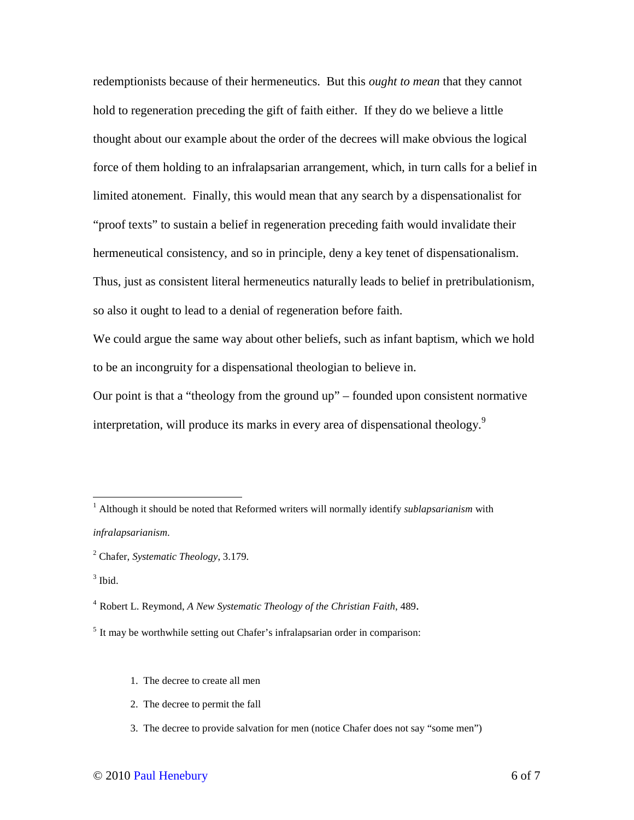redemptionists because of their hermeneutics. But this *ought to mean* that they cannot hold to regeneration preceding the gift of faith either. If they do we believe a little thought about our example about the order of the decrees will make obvious the logical force of them holding to an infralapsarian arrangement, which, in turn calls for a belief in limited atonement. Finally, this would mean that any search by a dispensationalist for "proof texts" to sustain a belief in regeneration preceding faith would invalidate their hermeneutical consistency, and so in principle, deny a key tenet of dispensationalism. Thus, just as consistent literal hermeneutics naturally leads to belief in pretribulationism, so also it ought to lead to a denial of regeneration before faith.

We could argue the same way about other beliefs, such as infant baptism, which we hold to be an incongruity for a dispensational theologian to believe in.

Our point is that a "theology from the ground up" – founded upon consistent normative interpretation, will produce its marks in every area of dispensational theology.<sup>9</sup>

- 1. The decree to create all men
- 2. The decree to permit the fall
- 3. The decree to provide salvation for men (notice Chafer does not say "some men")

 1 Although it should be noted that Reformed writers will normally identify *sublapsarianism* with *infralapsarianism*.

<sup>2</sup> Chafer, *Systematic Theology*, 3.179.

 $3$  Ibid.

<sup>4</sup> Robert L. Reymond, *A New Systematic Theology of the Christian Faith*, 489.

<sup>&</sup>lt;sup>5</sup> It may be worthwhile setting out Chafer's infralapsarian order in comparison: